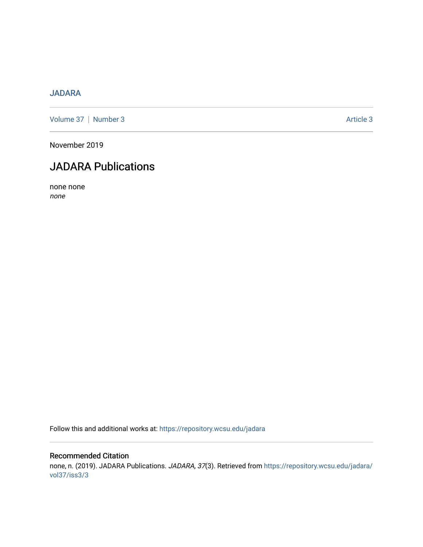### [JADARA](https://repository.wcsu.edu/jadara)

[Volume 37](https://repository.wcsu.edu/jadara/vol37) | [Number 3](https://repository.wcsu.edu/jadara/vol37/iss3) Article 3

November 2019

# JADARA Publications

none none none

Follow this and additional works at: [https://repository.wcsu.edu/jadara](https://repository.wcsu.edu/jadara?utm_source=repository.wcsu.edu%2Fjadara%2Fvol37%2Fiss3%2F3&utm_medium=PDF&utm_campaign=PDFCoverPages)

### Recommended Citation none, n. (2019). JADARA Publications. JADARA, 37(3). Retrieved from [https://repository.wcsu.edu/jadara/](https://repository.wcsu.edu/jadara/vol37/iss3/3?utm_source=repository.wcsu.edu%2Fjadara%2Fvol37%2Fiss3%2F3&utm_medium=PDF&utm_campaign=PDFCoverPages) [vol37/iss3/3](https://repository.wcsu.edu/jadara/vol37/iss3/3?utm_source=repository.wcsu.edu%2Fjadara%2Fvol37%2Fiss3%2F3&utm_medium=PDF&utm_campaign=PDFCoverPages)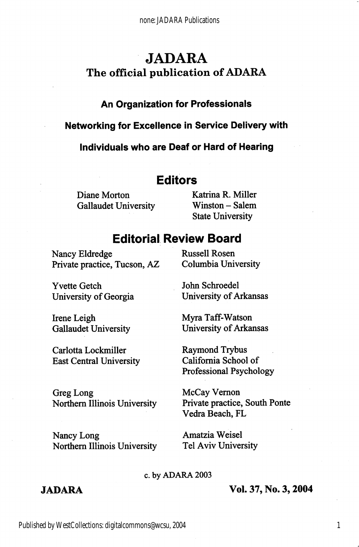## JADARA The official publication of ADARA

### An Organization for Professionais

#### Networking for Exceiience in Service Deiivery with

individuais who are Deaf or Hard of Hearing

### Editors

Gallaudet University Winston - Salem

Diane Morton Katrina R. Miller State University

### Editorial Review Board

Nancy Eldredge Russell Rosen Private practice, Tucson, AZ Columbia University

Yvette Getch University of Georgia

Irene Leigh Gallaudet University

Carlotta Lockmiller East Central University

John Schroedel University of Arkansas

Myra Taff-Watson University of Arkansas

Raymond Trybus Califomia School of Professional Psychology

Greg Long Northern Illinois University

Nancy Long Northern Illinois University McCay Vemon Private practice. South Ponte Vedra Beach, FL

Amatzia Weisel Tel Aviv University

#### c. by ADARA 2003

#### JADARA Vol. 37, No. 3,2004

1